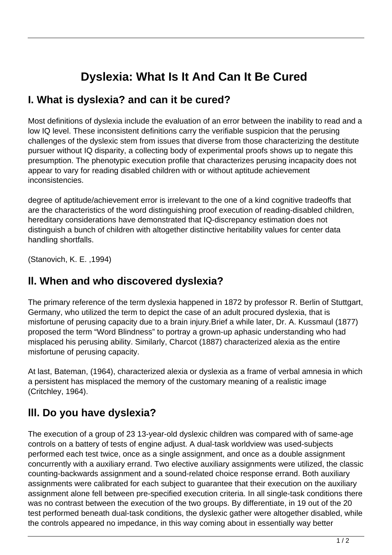# **Dyslexia: What Is It And Can It Be Cured**

#### **I. What is dyslexia? and can it be cured?**

Most definitions of dyslexia include the evaluation of an error between the inability to read and a low IQ level. These inconsistent definitions carry the verifiable suspicion that the perusing challenges of the dyslexic stem from issues that diverse from those characterizing the destitute pursuer without IQ disparity, a collecting body of experimental proofs shows up to negate this presumption. The phenotypic execution profile that characterizes perusing incapacity does not appear to vary for reading disabled children with or without aptitude achievement inconsistencies.

degree of aptitude/achievement error is irrelevant to the one of a kind cognitive tradeoffs that are the characteristics of the word distinguishing proof execution of reading-disabled children, hereditary considerations have demonstrated that IQ-discrepancy estimation does not distinguish a bunch of children with altogether distinctive heritability values for center data handling shortfalls.

(Stanovich, K. E. ,1994)

### **ll. When and who discovered dyslexia?**

The primary reference of the term dyslexia happened in 1872 by professor R. Berlin of Stuttgart, Germany, who utilized the term to depict the case of an adult procured dyslexia, that is misfortune of perusing capacity due to a brain injury.Brief a while later, Dr. A. Kussmaul (1877) proposed the term "Word Blindness" to portray a grown-up aphasic understanding who had misplaced his perusing ability. Similarly, Charcot (1887) characterized alexia as the entire misfortune of perusing capacity.

At last, Bateman, (1964), characterized alexia or dyslexia as a frame of verbal amnesia in which a persistent has misplaced the memory of the customary meaning of a realistic image (Critchley, 1964).

# **lll. Do you have dyslexia?**

The execution of a group of 23 13-year-old dyslexic children was compared with of same-age controls on a battery of tests of engine adjust. A dual-task worldview was used-subjects performed each test twice, once as a single assignment, and once as a double assignment concurrently with a auxiliary errand. Two elective auxiliary assignments were utilized, the classic counting-backwards assignment and a sound-related choice response errand. Both auxiliary assignments were calibrated for each subject to guarantee that their execution on the auxiliary assignment alone fell between pre-specified execution criteria. In all single-task conditions there was no contrast between the execution of the two groups. By differentiate, in 19 out of the 20 test performed beneath dual-task conditions, the dyslexic gather were altogether disabled, while the controls appeared no impedance, in this way coming about in essentially way better